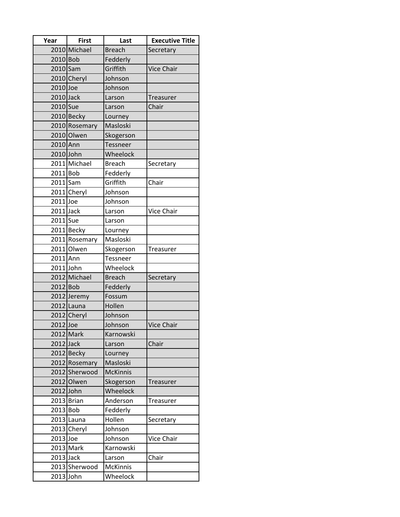| Year      | <b>First</b>  | Last            | <b>Executive Title</b> |
|-----------|---------------|-----------------|------------------------|
|           | 2010 Michael  | <b>Breach</b>   | Secretary              |
| 2010 Bob  |               | Fedderly        |                        |
| 2010 Sam  |               | Griffith        | <b>Vice Chair</b>      |
|           | 2010 Cheryl   | Johnson         |                        |
| 2010 Joe  |               | Johnson         |                        |
| 2010 Jack |               | Larson          | Treasurer              |
| 2010 Sue  |               | Larson          | Chair                  |
|           | 2010 Becky    | Lourney         |                        |
|           | 2010 Rosemary | Masloski        |                        |
|           | 2010 Olwen    | Skogerson       |                        |
| 2010 Ann  |               | <b>Tessneer</b> |                        |
| 2010 John |               | Wheelock        |                        |
|           | 2011 Michael  | <b>Breach</b>   | Secretary              |
| 2011 Bob  |               | Fedderly        |                        |
| 2011 Sam  |               | Griffith        | Chair                  |
|           | 2011 Cheryl   | Johnson         |                        |
| 2011 Joe  |               | Johnson         |                        |
| 2011 Jack |               | Larson          | <b>Vice Chair</b>      |
| 2011 Sue  |               | Larson          |                        |
|           | 2011 Becky    | Lourney         |                        |
|           | 2011 Rosemary | Masloski        |                        |
|           | 2011 Olwen    | Skogerson       | Treasurer              |
| 2011 Ann  |               | Tessneer        |                        |
| 2011 John |               | Wheelock        |                        |
|           | 2012 Michael  | <b>Breach</b>   | Secretary              |
| 2012 Bob  |               | Fedderly        |                        |
|           | 2012 Jeremy   | Fossum          |                        |
|           | 2012 Launa    | Hollen          |                        |
|           | 2012 Cheryl   | Johnson         |                        |
| 2012 Joe  |               | Johnson         | <b>Vice Chair</b>      |
|           | 2012 Mark     | Karnowski       |                        |
| 2012 Jack |               | Larson          | Chair                  |
|           | 2012 Becky    | Lourney         |                        |
|           | 2012 Rosemary | Masloski        |                        |
|           | 2012 Sherwood | <b>McKinnis</b> |                        |
|           | 2012 Olwen    | Skogerson       | Treasurer              |
| 2012 John |               | Wheelock        |                        |
|           | 2013 Brian    | Anderson        | Treasurer              |
| 2013 Bob  |               | Fedderly        |                        |
|           | 2013 Launa    | Hollen          | Secretary              |
|           | 2013 Cheryl   | Johnson         |                        |
| 2013 Joe  |               | Johnson         | Vice Chair             |
|           | 2013 Mark     | Karnowski       |                        |
| 2013 Jack |               | Larson          | Chair                  |
|           | 2013 Sherwood | McKinnis        |                        |
| 2013 John |               | Wheelock        |                        |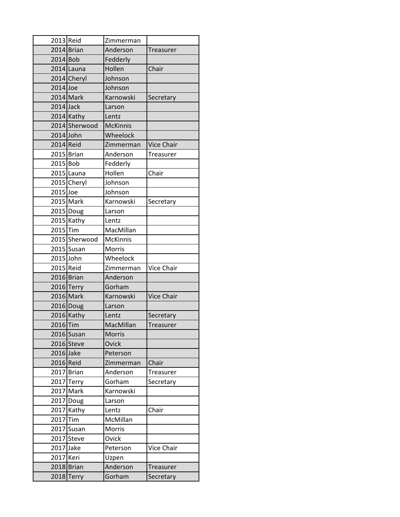| 2013 Reid   |               | Zimmerman       |                   |
|-------------|---------------|-----------------|-------------------|
|             | 2014 Brian    | Anderson        | Treasurer         |
| 2014 Bob    |               | Fedderly        |                   |
|             | 2014 Launa    | Hollen          | Chair             |
|             | 2014 Cheryl   | Johnson         |                   |
| 2014 Joe    |               | Johnson         |                   |
|             | 2014 Mark     | Karnowski       | Secretary         |
| $2014$ Jack |               | Larson          |                   |
|             | $2014$ Kathy  | Lentz           |                   |
|             | 2014 Sherwood | <b>McKinnis</b> |                   |
| 2014 John   |               | Wheelock        |                   |
| 2014 Reid   |               | Zimmerman       | <b>Vice Chair</b> |
|             | 2015 Brian    | Anderson        | Treasurer         |
| 2015 Bob    |               | Fedderly        |                   |
|             | 2015 Launa    | Hollen          | Chair             |
|             | 2015 Cheryl   | Johnson         |                   |
| 2015 Joe    |               | Johnson         |                   |
|             | 2015 Mark     | Karnowski       | Secretary         |
|             | 2015 Doug     | Larson          |                   |
|             | 2015 Kathy    | Lentz           |                   |
| 2015 Tim    |               | MacMillan       |                   |
|             | 2015 Sherwood | <b>McKinnis</b> |                   |
|             | 2015 Susan    | Morris          |                   |
| 2015 John   |               | Wheelock        |                   |
| 2015 Reid   |               | Zimmerman       | <b>Vice Chair</b> |
|             | 2016 Brian    | Anderson        |                   |
|             | 2016 Terry    | Gorham          |                   |
|             | 2016 Mark     | Karnowski       | <b>Vice Chair</b> |
|             | 2016 Doug     | Larson          |                   |
|             | 2016 Kathy    | Lentz           | Secretary         |
| 2016Tim     |               | MacMillan       | Treasurer         |
|             | 2016 Susan    | <b>Morris</b>   |                   |
|             | 2016 Steve    | Ovick           |                   |
| 2016 Jake   |               | Peterson        |                   |
| 2016 Reid   |               | Zimmerman       | Chair             |
|             | 2017 Brian    | Anderson        | Treasurer         |
|             | 2017 Terry    | Gorham          | Secretary         |
|             | 2017 Mark     | Karnowski       |                   |
|             | 2017 Doug     | Larson          |                   |
|             | 2017 Kathy    | Lentz           | Chair             |
| 2017        | Tim           | McMillan        |                   |
|             | 2017 Susan    | Morris          |                   |
|             | 2017 Steve    | Ovick           |                   |
| 2017 Jake   |               | Peterson        | <b>Vice Chair</b> |
| 2017 Keri   |               | Uzpen           |                   |
|             | 2018 Brian    | Anderson        | Treasurer         |
|             | 2018 Terry    | Gorham          | Secretary         |